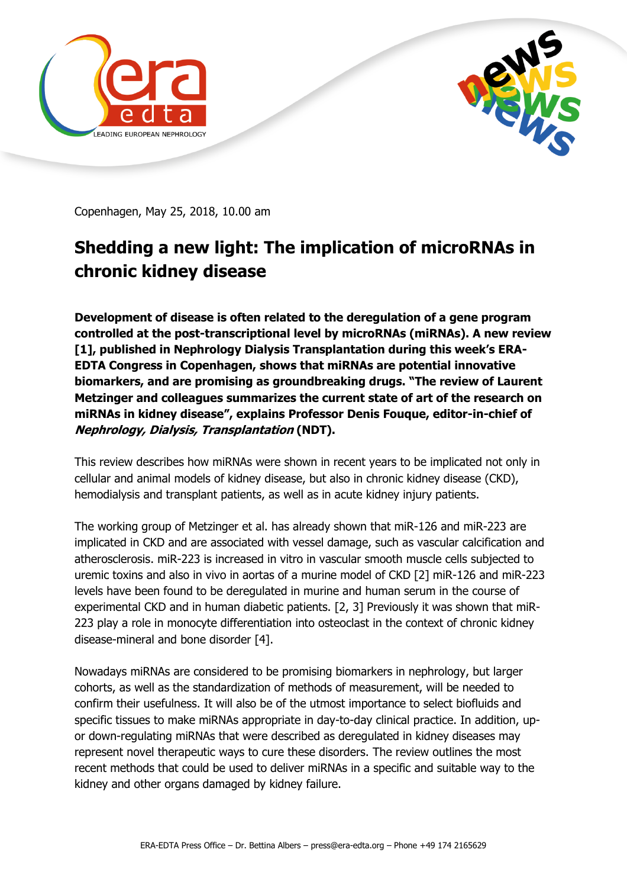



Copenhagen, May 25, 2018, 10.00 am

## **Shedding a new light: The implication of microRNAs in chronic kidney disease**

**Development of disease is often related to the deregulation of a gene program controlled at the post-transcriptional level by microRNAs (miRNAs). A new review [1], published in Nephrology Dialysis Transplantation during this week's ERA-EDTA Congress in Copenhagen, shows that miRNAs are potential innovative biomarkers, and are promising as groundbreaking drugs. "The review of Laurent Metzinger and colleagues summarizes the current state of art of the research on miRNAs in kidney disease", explains Professor Denis Fouque, editor-in-chief of Nephrology, Dialysis, Transplantation (NDT).**

This review describes how miRNAs were shown in recent years to be implicated not only in cellular and animal models of kidney disease, but also in chronic kidney disease (CKD), hemodialysis and transplant patients, as well as in acute kidney injury patients.

The working group of Metzinger et al. has already shown that miR-126 and miR-223 are implicated in CKD and are associated with vessel damage, such as vascular calcification and atherosclerosis. miR-223 is increased in vitro in vascular smooth muscle cells subjected to uremic toxins and also in vivo in aortas of a murine model of CKD [2] miR-126 and miR-223 levels have been found to be deregulated in murine and human serum in the course of experimental CKD and in human diabetic patients. [2, 3] Previously it was shown that miR-223 play a role in monocyte differentiation into osteoclast in the context of chronic kidney disease-mineral and bone disorder [4].

Nowadays miRNAs are considered to be promising biomarkers in nephrology, but larger cohorts, as well as the standardization of methods of measurement, will be needed to confirm their usefulness. It will also be of the utmost importance to select biofluids and specific tissues to make miRNAs appropriate in day-to-day clinical practice. In addition, upor down-regulating miRNAs that were described as deregulated in kidney diseases may represent novel therapeutic ways to cure these disorders. The review outlines the most recent methods that could be used to deliver miRNAs in a specific and suitable way to the kidney and other organs damaged by kidney failure.